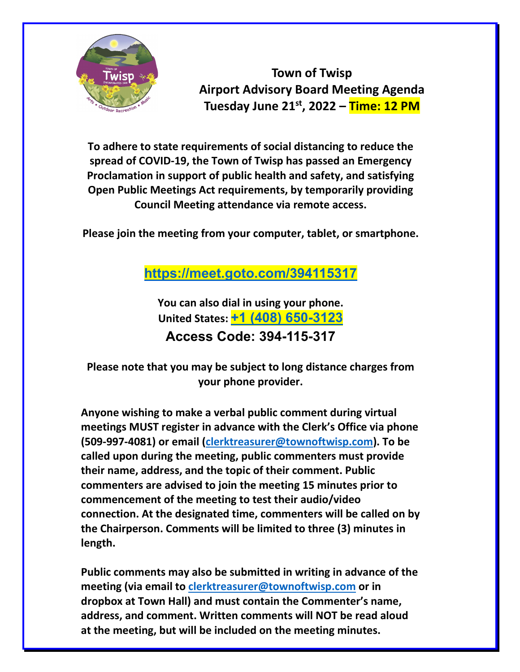

**Town of Twisp Airport Advisory Board Meeting Agenda Tuesday June 21st , 2022 – Time: 12 PM**

**To adhere to state requirements of social distancing to reduce the spread of COVID-19, the Town of Twisp has passed an Emergency Proclamation in support of public health and safety, and satisfying Open Public Meetings Act requirements, by temporarily providing Council Meeting attendance via remote access.**

**Please join the meeting from your computer, tablet, or smartphone.**

**<https://meet.goto.com/394115317>**

**You can also dial in using your phone. United States: [+1 \(408\) 650-3123](tel:+14086503123,,394115317) Access Code: 394-115-317**

**Please note that you may be subject to long distance charges from your phone provider.**

**Anyone wishing to make a verbal public comment during virtual meetings MUST register in advance with the Clerk's Office via phone (509-997-4081) or email [\(clerktreasurer@townoftwisp.com\)](mailto:clerktreasurer@townoftwisp.com). To be called upon during the meeting, public commenters must provide their name, address, and the topic of their comment. Public commenters are advised to join the meeting 15 minutes prior to commencement of the meeting to test their audio/video connection. At the designated time, commenters will be called on by the Chairperson. Comments will be limited to three (3) minutes in length.**

**Public comments may also be submitted in writing in advance of the meeting (via email to [clerktreasurer@townoftwisp.com](mailto:clerktreasurer@townoftwisp.com) or in dropbox at Town Hall) and must contain the Commenter's name, address, and comment. Written comments will NOT be read aloud at the meeting, but will be included on the meeting minutes.**